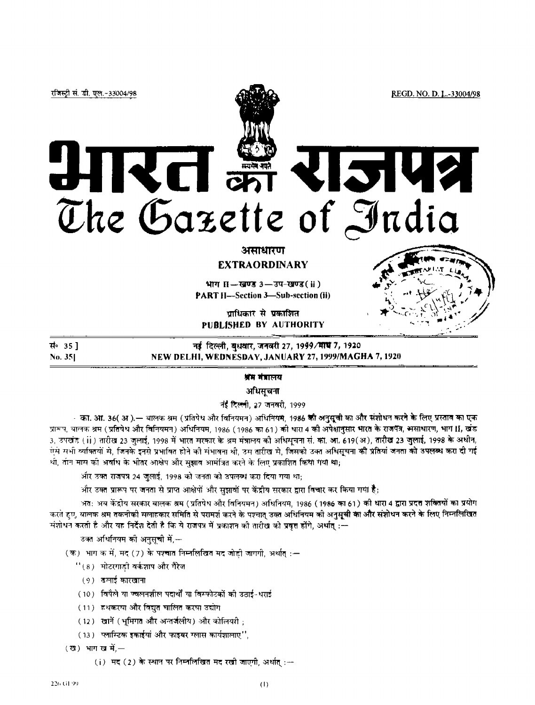रजिस्ट्री सं. डी. एल.-33004/98

# KCI and 15142 The Gazette of India

### असाधारण

**EXTRAORDINARY**

भाग II-खण्ड 3-उप-खण्ड (ii) PART II**—**Section 3—Sub-section (ii)

पाधिकार से पकाशित **PUBLISHED BY AUTHORITY**

स∘ 35 ]

No. 35] NEW DELHI, WEDNESDAY, JANUARY 27, 1999/MAGHA 7, 1920

नई दिल्ली, बुधवार, जनवरी 27, 1999/माथ 7, 1920

#### श्रॅम मंत्रालय

अधिसचना

नई दिल्ली, 27 जनवरी, 1999

- का. आ. 36( अ ).— बालक श्रम (प्रतिपेध और विनियमन) अधिनियम, 1986 की अनुसूची का और संशोधन करने के लिए प्रस्ताव का एक प्रारूप, वालक श्रम (प्रतिषेध और विनियमन) अधिनियम, 1986 (1986 का 61) की धारा 4 की अपेक्षानुसार भारत के राजपत्र, भसाधारण, भाग II, खंड 3, उपखंड (ii) तारीख 23 जलाई, 1998 में भारत मरकार के श्रम मंत्रालय की अधिमचना सं. की. आ, 619(अ), **तारीख 23 जुलाई,** 1998 के अधीन, एस सभी व्यक्तियों से, जिनके इनसे प्रभावित होने की संभावना थी, उस तारीख से, जिसको उक्त अधिसूचना की प्रतियां जनता को उपलब्ध करा दी गई थी, तीन मास की अवधि के भीतर आक्षेप और सुझाव आमंत्रित करने के लिए प्रकाशित किया गया था;

और उक्त राजपत्र 24 जुलाई, 1998 को जनता को उपलब्ध करा दिया गया था;

, और उक्त प्रारूप पर जनता से प्राप्त आक्षेपों और सुझावों पर केंद्रीय सरकार द्वारा विचार कर किया गया है

अत: अब केंद्रीय सरकार बालक श्रम (प्रतिपेध और विनियमन) अधिनियम, 1986 (1986 का 61) की धारा 4 द्वारा प्रदत्त शक्तियों का प्रयोग करते हुए, यालक श्रम तकनीकी सलाहकार समिति से परामर्श करने के पश्चात् उक्त अधिनियम को अनुसूची का और संशोधन करने के लिए निम्नलिखित संशोधन करती है और यह निर्देश देती है कि ये राजपत्र में प्रकाशन को तारीख को प्रवृत्त होंगे, अर्थात् :--

उक्त अधिनियम को अनुसूची में,—

(क) भाग क में, मद (7) के पश्चात निम्नलिखित मद जोडी जागगी, अर्थात् :-

''(8) मोटरगाडी वर्कशाप और गैरेज

(१) ढलाई कारखाना

(10) विपैले या ज्वलनशील पदार्थों या विस्फोटकों की उठाई-धराई

(11) हथकरमा और विद्युत चालित करमा उद्योग

(12) खानें (भूमिगत और अन्तर्जलीय) और कोलियरी ;

(13) प्लास्टिक इकाईयां और फाइबर ग्लास कार्यशालाए",

 $\overline{\mathbf{u}}$  (ख) भाग खर्मे, —

(i) मद (2) के स्थान पर निम्नलिखित मद रखी जाएगी, अर्थात:--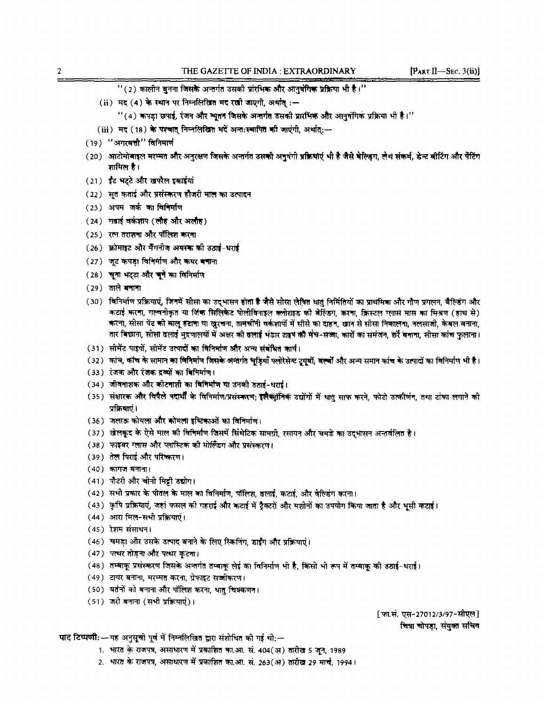- ''(2) कालीन बुनना जिसके अन्तर्गत उसकी प्रांरभिक और आनुषंगिक प्रक्रिया भी है।''
- (ii) मद (4) के स्थान पर निम्नलिखित मद रखी जाएगी, अर्थात:-
	- ''(4) कपड़ा छपाई, रंजन और न्यूतन जिसके अन्तर्गत उसकी प्रारंभिक और आनुवंगिक प्रक्रिया भी है।''
- (iii) मद (18) के पश्चात् निम्नलिखित मदें अन्तःस्थापित की जाएंगी, अर्थात:-
- (19) "अगस्यत्ती" विनिमार्ण
- (20) आटोमोबाइल मरम्मत और अनुरक्षण जिसके अन्तर्गत उसकी अनुषंगी प्रक्रियाएं भी है जैसे बेल्डिंग, लैथ संकर्म, डेन्ट बीटिंग और पेंटिंग शामिल है।
- (21) इंट भट्टे और खपरैल इकाईयां
- (22) सुत कताई और प्रसंस्करण हौजरी माल का उत्पादन
- (23) अपम जर्क का विचिर्माण
- (24) गढाई वर्कशाप (लौह और अलौह)
- (25) रत्न तराशमा और पॉलिश करमा
- (26) फ्रोमाइट और मैंगनीज अयस्क की उठाई-धराई
- (27) जूट कपड़ा विनिर्माण और कथर बनाना
- (28) चुना भट्टा और चुने का विनिर्माण
- (29) ताले बनाना
- (૩०) विनिर्माण प्रक्रियाएं, जिनमें सीसा का उदभासन होता है जैसे सीसा लेखित धातु निर्मितियों का प्राथमिक और गौण प्रगलन, बैल्डिंग और कटाई करना, गल्चनीकृत या जिंक सिलिकेट पोलीविनाइल क्लोराइड को बेल्डिंग, करना, क्रिस्टल ग्लास मास का मिश्रण (हाथ से) करना, सोसा पेंट को बालू हटाना था खुरचना, तामचीनी वर्कशायों में सीसे का दाहन, खान से सीसा निकालना, नलसाजी, केबल बनाना, तार विछाना, सीसा दलाई मुद्रणालयों में अक्षर की दलाई भंडार टाइप की मंच-सज्जा, कारों का समंजन, छर्रे बनाना, सीसा कांच फुलाना।
- (31) सीमेंट पाइपों, सीमेंट उत्पादों का विनिर्माण और अन्य संबंधित कार्य।
- (32) कांच, कांच के सामान का विनिर्माण जिसके अक्षर्गत चूड़ियाँ फ्लोरेसेस्ट टूयूबों, बल्बों और अन्य समान कांच के उत्पादों का विनिर्माण भी है।
- (33) रंजक और रंजक दृव्यों का विभिर्माण।
- (34) जीवनाशक और कीटनाशी का विनिर्माण या उनकी उठाई-धराई।
- (35) संक्षारक और विषैले पदार्थी के विनिर्माण/प्रसंस्करण; इलैक्ट्रॉनिक उद्योगों में धातु साफ करने, फोटो उत्कीर्णन, तथा टांका लगाने की प्रक्रियाएं ।
- (36) जलाऊ कोयला और कोयला इंग्टिकाओं का विनिर्माण।
- (37) खेलकूद के ऐसे माल की विनिर्माण जिसमें सिंथेटिक सामग्री, रसायन और चमडे का उद्भासन अन्तर्वलित है।
- (38) फाइबर ग्लास और प्लास्टिक की मोल्डिंग और प्रसंस्करण।
- (39) तेल पिराई और परिष्करण।
- $(40)$  कागज बनाना।
- (41) पौटरी और खीनी मिट्टी उद्योग।
- (42) सभी प्रकार के पीतल के माल का विनिर्माण, पॉलिश, ढलाई, कटाई, और वेल्डिंग करना।
- (43) कृषि प्रक्रियाएं, जहां फसल की गहराई और कटाई में ट्रैक्टरों और मशीनों का उपयोग किया जाता है और भूसी कटाई।
- (44) आरा मिल-सभी प्रक्रियाएं।
- $(45)$  रेशम संसाधन।
- (46) चमडा और उसके उत्पाद बनाने के लिए स्किनिंग, डाईंग और प्रक्रियाएं।
- (47) पत्थर तोड़ना और पत्थर कुटना।
- (48) तम्बाकू प्रसंस्करण जिसके अन्तर्गत तम्बाकू लेई का विनिर्माण भी है, किसी भी रूप में तम्बाकू की उठाई-धराई।
- (49) टायर बनाना, मरम्मत करना, ग्रेफाइट सज्जीकरण।
- (50) यतनों को बनाना और पॉलिश करना, धातु चिक्कणन।
- (51) जरी बनाना (सभी प्रक्रियाएं)।

[फा.सं. एस-27012/3/97-सीएल] चित्रा चोपडा, संयुक्त सचिव

पाद टिप्पणी:--यह अनुसूची पूर्व में निम्नलिखित द्वारा संशोधित की गई थी;--

- 1. भारत के राजपत्र, असाधारण में प्रकाशित का.आ. सं. 404(अ) तारीख 5 जून, 1989
- 2. भारत के राजपत्र, असाधारण में प्रकाशित का.आ. सं. 263(अ) तारीख 29 मार्च, 1994।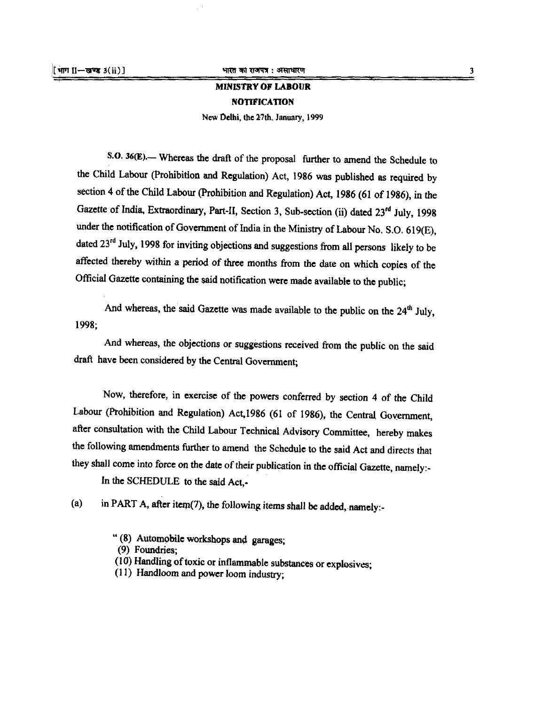## MINISTRY OF LABOUR NOTIFICATION

New Delhi, the 27th, January, 1999

**S.O. 36(E).**— Whereas the draft of the proposal further to amend the Schedule to the Child Labour (Prohibition and Regulation) Act, 1986 was published as required by section 4 of the Child Labour (Prohibition and Regulation) Act, 1986 (61 of 1986), in the Gazette of India, Extraordinary, Part-II, Section 3, Sub-section (ii) dated 23<sup>rd</sup> July, 1998 under the notification of Government of India in the Ministry of Labour No. S.O. 619(E), dated 23<sup>rd</sup> July, 1998 for inviting objections and suggestions from all persons likely to be affected thereby within a period of three months from the date on which copies of the Official Gazette containing the said notification were made available to the public;

And whereas, the said Gazette was made available to the public on the  $24<sup>th</sup>$  July, 1998;

And whereas, the objections or suggestions received from the public on the said draft have been considered by the Central Government;

Now, therefore, in exercise of the powers conferred by section 4 of the Child Labour (Prohibition and Regulation) Act,1986 (61 of 1986), the Central Government, after consultation with the Child Labour Technical Advisory Committee, hereby makes the following amendments further to amend the Schedule to the said Act and directs that they shall come into force on the date of their publication in the official Gazette, namely:-

In the SCHEDULE to the said Act,-

(a) in PART A, after item(7), the following items shall be added, namely:-

" (8) Automobile workshops and garages;

(9) Foundries;

(10) Handling of toxic or inflammable substances or explosives;

(11) Handloom and power loom industry;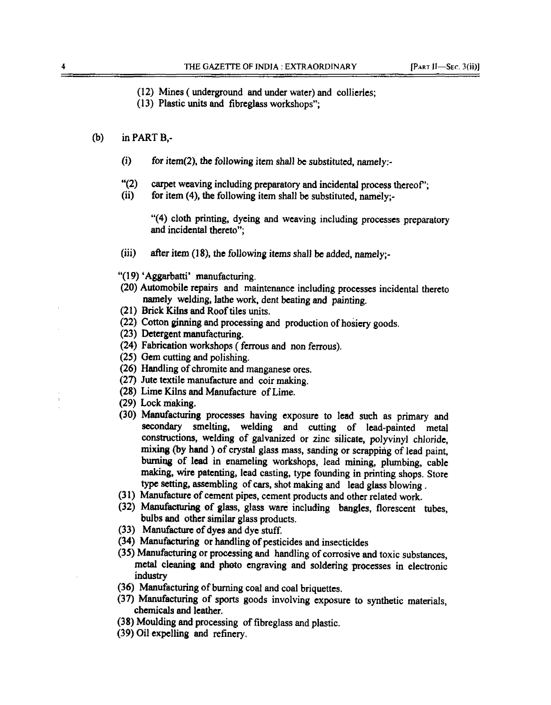(12) Mines (underground and under water) and collieries;

(13) Plastic units and fibreglass workshops";

#### (b) in PART B,-

- (i) for item(2), the following item shall be substituted, namely:-
- "(2) carpet weaving including preparatory and incidental process thereof";<br>(ii) for item (4), the following item shall be substituted, namely:-
- for item  $(4)$ , the following item shall be substituted, namely;-

"(4) cloth printing, dyeing and weaving including processes preparatory and incidental thereto";

- (iii) after item (18), the following items shall be added, namely;-
- "(19) 'Aggarbatti' manufacturing.
- (20) Automobile repairs and maintenance including processes incidental thereto namely welding, lathe work, dent beating and painting.
- (21) Brick Kilns and Roof tiles units.
- (22) Cotton ginning and processing and production of hosiery goods.
- (23) Detergent manufacturing.
- (24) Fabrication workshops (ferrous and non ferrous).
- (25) Gem cutting and polishing.
- (26) Handling of chromite and manganese ores.
- (27) Jute textile manufacture and coir making.
- (28) Lime Kilns and Manufacture of Lime.
- (29) Lock making.
- (30) Manufacturing processes having exposure to lead such as primary and secondary smelting, welding and cutting of lead-painted metal constructions, welding of galvanized or zinc silicate, polyvinyl chloride, mixing (by hand ) of crystal glass mass, sanding or scrapping of lead paint, burning of lead in enameling workshops, lead mining, plumbing, cable making, wire patenting, lead casting, type founding in printing shops. Store type setting, assembling of cars, shot making and lead glass blowing .
- (31) Manufacture of cement pipes, cement products and other related work.
- (32) Manufacturing of glass, glass ware including bangles, florescent tubes, bulbs and other similar glass products.
- (33) Manufacture of dyes and dye stuff.
- (34) Manufacturing or handling of pesticides and insecticides
- (35) Manufacturing or processing and handling of corrosive and toxic substances, metal cleaning and photo engraving and soldering processes in electronic industry
- (36) Manufacturing of burning coal and coal briquettes.
- (37) Manufacturing of sports goods involving exposure to synthetic materials, chemicals and leather.
- (38) Moulding and processing of fibreglass and plastic.
- (39) Oil expelling and refinery.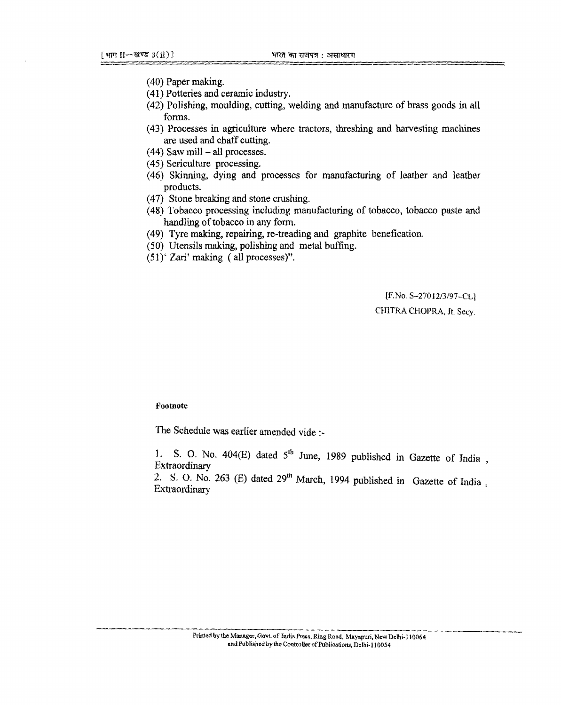- (40) Paper making.
- (41) Potteries and ceramic industry.
- (42) Polishing, moulding, cutting, welding and manufacture of brass goods in all forms.
- (43) Processes in agriculture where tractors, threshing and harvesting machines are used and chaff cutting.
- $(44)$  Saw mill  $-$  all processes.
- (45) Sericulture processing.
- (46) Skinning, dying and processes for manufacturing of leather and leather products.
- (47) Stone breaking and stone crushing.
- (48) Tobacco processing including manufacturing of tobacco, tobacco paste and handling of tobacco in any form.
- (49) Tyre making, repairing, re-treading and graphite benefication.
- (50) Utensils making, polishing and metal buffing.
- (51)' Zari' making (all processes)".

[F.No. S-27012/3/97-CL] CHITRA CHOPRA, Jt*.* Secy.

Footnote

The Schedule was earlier amended vide :-

1. S. O. No. 404 $(E)$  dated  $5<sup>th</sup>$  June, 1989 published in Gazette of India Extraordinary in the contract of the contract of the contract of the contract of the contract of the contract of the contract of the contract of the contract of the contract of the contract of the contract of the contract

2. S. O. No. 263 (E) dated  $29<sup>th</sup>$  March, 1994 published in Gazette of India. Extraordinary